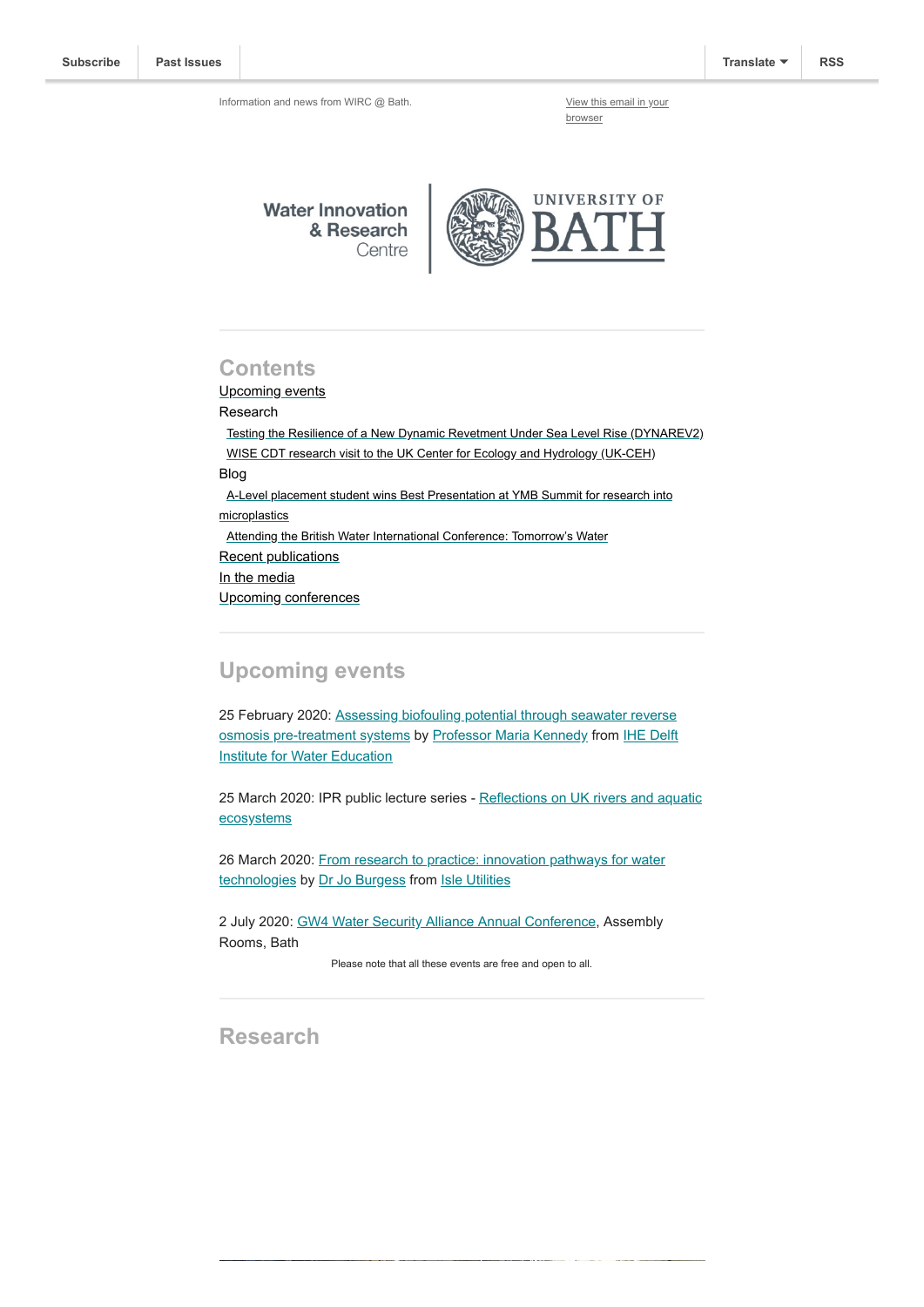Information and news from WIRC @ Bath. [View this email in your](https://mailchi.mp/83f50b8c6951/wircapr2018-2492397?e=[UNIQID])

browser

**Water Innovation** & Research Centre



### **Contents**

Upcoming events

Research

 [Testing the Resilience of a New Dynamic Revetment Under Sea Level Rise \(DYNAREV2\)](#page-1-0) [WISE CDT research visit to the UK Center for Ecology and Hydrology \(UK-CEH\)](#page-1-1) Blog [A-Level placement student wins Best Presentation at YMB Summit for research into](#page-2-0) microplastics [Attending the British Water International Conference: Tomorrow's Water](#page-2-1) Recent publications [In the media](#page-3-0) [Upcoming conferences](#page-3-1)

# **Upcoming events**

[25 February 2020: Assessing biofouling potential through seawater reverse](https://www.eventbrite.co.uk/e/biofouling-potential-through-seawater-reverse-osmosis-pre-treatment-systems-tickets-90639419945) [osmosis pre-treatment systems by Professor Maria Kennedy from IHE Delft](https://www.un-ihe.org/) **Institute for Water Education** 

[25 March 2020: IPR public lecture series - Reflections on UK rivers and aquatic](https://www.eventbrite.co.uk/e/reflections-on-uk-rivers-and-aquatic-ecosystems-tickets-88834571595) ecosystems

[26 March 2020: From research to practice: innovation pathways for water](https://www.bath.ac.uk/events/from-research-to-practice-innovation-pathways-for-water-technologies/) technologies by [Dr Jo Burgess](https://www.isleutilities.com/about/meet-the-team/dr-jo-burgess) from [Isle Utilities](https://www.isleutilities.com/)

2 July 2020: [GW4 Water Security Alliance Annual Conference](https://www.eventbrite.co.uk/e/gw4-water-security-alliance-2020-annual-conference-tickets-85976214171), Assembly Rooms, Bath

Please note that all these events are free and open to all.

**Research**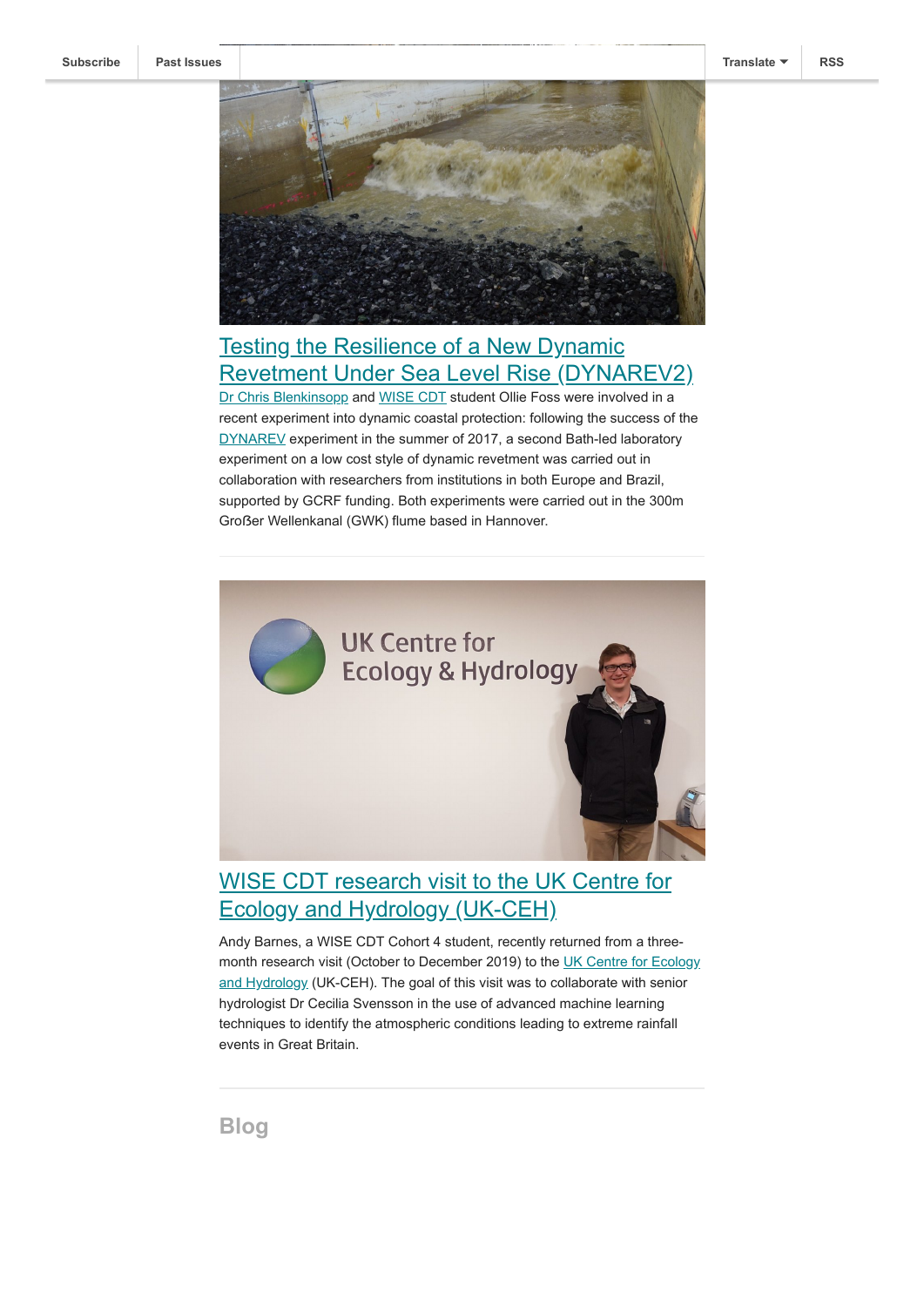

# <span id="page-1-0"></span>**Testing the Resilience of a New Dynamic** [Revetment Under Sea Level Rise \(DYNAREV2\)](http://blogs.bath.ac.uk/water/2020/01/13/a-further-laboratory-experiment-into-dynamic-coastal-protection-testing-the-resilience-of-a-new-dynamic-revetment-under-sea-level-rise-dynarev2/)

[Dr Chris Blenkinsopp](https://researchportal.bath.ac.uk/en/persons/chris-blenkinsopp) and [WISE CDT](http://wisecdt.org.uk/) student Ollie Foss were involved in a recent experiment into dynamic coastal protection: following the success of the [DYNAREV](https://www.bath.ac.uk/projects/dynamic-coastal-protection-resilience-of-dynamic-revetments-under-slr-dynarev/) experiment in the summer of 2017, a second Bath-led laboratory experiment on a low cost style of dynamic revetment was carried out in collaboration with researchers from institutions in both Europe and Brazil, supported by GCRF funding. Both experiments were carried out in the 300m Großer Wellenkanal (GWK) flume based in Hannover.



# <span id="page-1-1"></span>[WISE CDT research visit to the UK Centre for](http://blogs.bath.ac.uk/water/2020/01/15/andy-barnes-research-visit-to-the-uk-center-for-ecology-and-hydrology-uk-ceh/) Ecology and Hydrology (UK-CEH)

Andy Barnes, a WISE CDT Cohort 4 student, recently returned from a three[month research visit \(October to December 2019\) to the UK Centre for Ecology](https://www.ceh.ac.uk/) and Hydrology (UK-CEH). The goal of this visit was to collaborate with senior hydrologist Dr Cecilia Svensson in the use of advanced machine learning techniques to identify the atmospheric conditions leading to extreme rainfall events in Great Britain.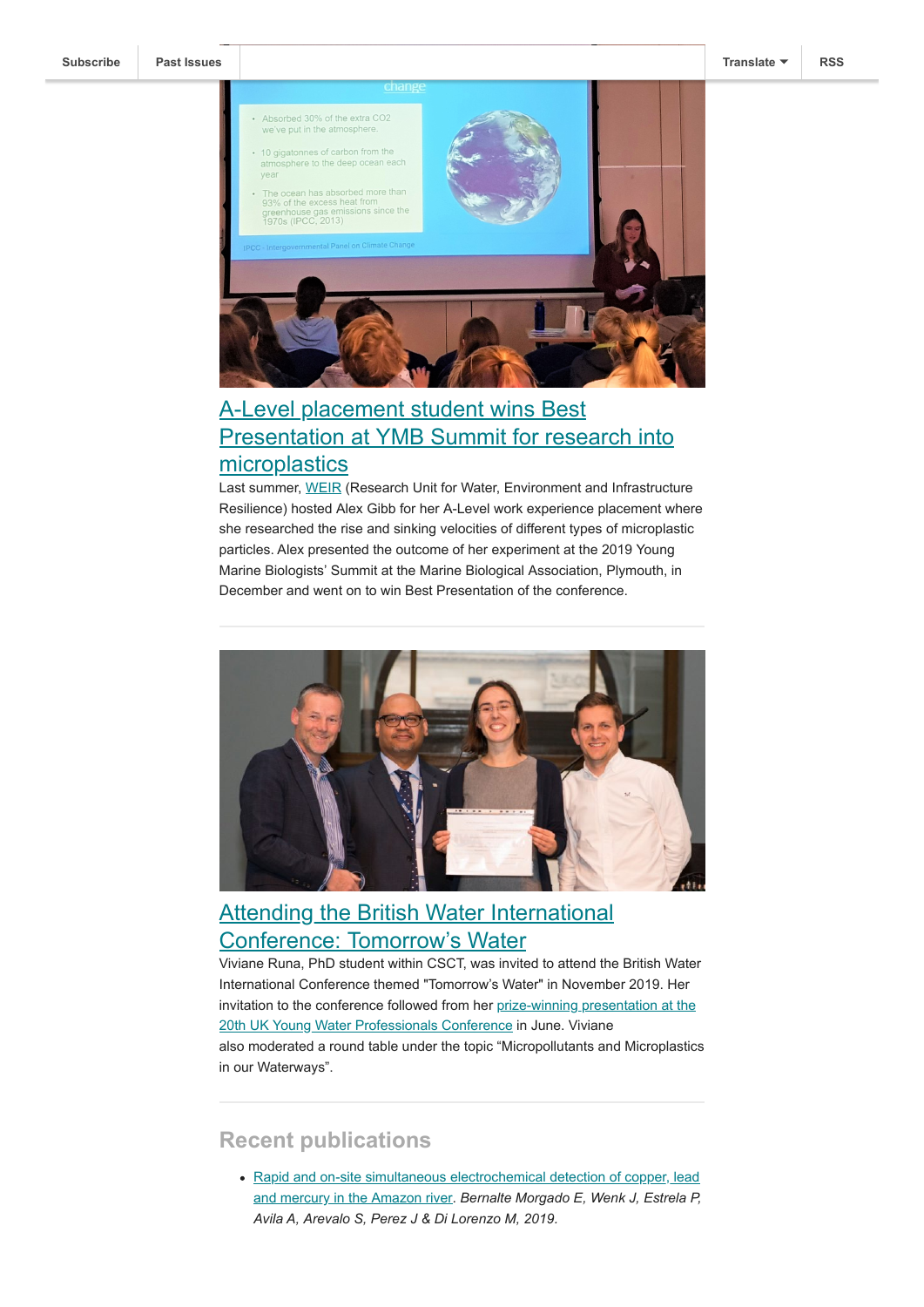

### <span id="page-2-0"></span>A-Level placement student wins Best [Presentation at YMB Summit for research into](http://blogs.bath.ac.uk/water/2020/01/14/a-level-placement-student-wins-best-presentation-at-ymb-summit-the-rise-and-sinking-velocities-of-different-types-of-microplastic-particles/) microplastics

Last summer, [WEIR](https://www.bath.ac.uk/research-groups/research-unit-for-water-environment-and-infrastructure-resilience/) (Research Unit for Water, Environment and Infrastructure Resilience) hosted Alex Gibb for her A-Level work experience placement where she researched the rise and sinking velocities of different types of microplastic particles. Alex presented the outcome of her experiment at the 2019 Young Marine Biologists' Summit at the Marine Biological Association, Plymouth, in December and went on to win Best Presentation of the conference.



# <span id="page-2-1"></span>[Attending the British Water International](http://blogs.bath.ac.uk/water/2020/01/31/attending-the-british-water-international-conference-tomorrows-water/) Conference: Tomorrow's Water

Viviane Runa, PhD student within CSCT, was invited to attend the British Water International Conference themed "Tomorrow's Water" in November 2019. Her [invitation to the conference followed from her prize-winning presentation at the](https://www.bath.ac.uk/announcements/untapped-potential-harvesting-bioplastics-from-wastewater/) 20th UK Young Water Professionals Conference in June. Viviane also moderated a round table under the topic "Micropollutants and Microplastics in our Waterways".

#### **Recent publications**

• [Rapid and on-site simultaneous electrochemical detection of copper, lead](https://doi.org/10.1016/j.snb.2019.127620) and mercury in the Amazon river. *Bernalte Morgado E, Wenk J, Estrela P, Avila A, Arevalo S, Perez J & Di Lorenzo M, 2019.*